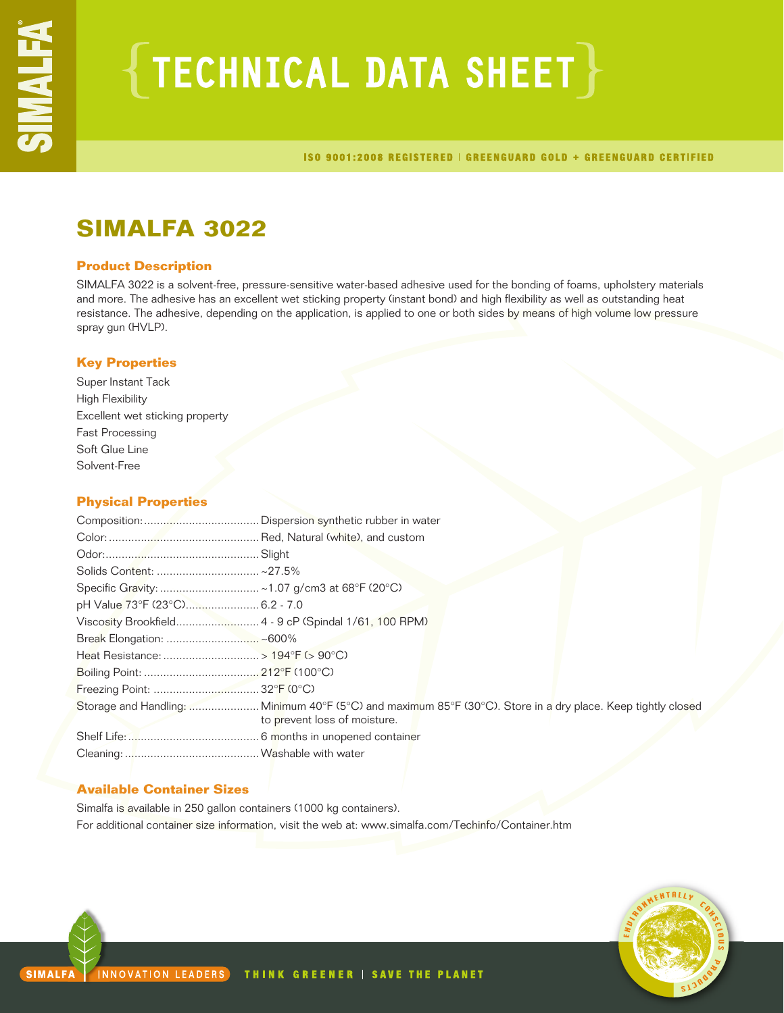# ${TECHNICAL DATA SHEET}$

ISO 9001:2008 REGISTERED | GREENGUARD GOLD + GREENGUARD CERTIFIED

## **SIMALFA 3022**

## **Product Description**

SIMALFA 3022 is a solvent-free, pressure-sensitive water-based adhesive used for the bonding of foams, upholstery materials and more. The adhesive has an excellent wet sticking property (instant bond) and high flexibility as well as outstanding heat resistance. The adhesive, depending on the application, is applied to one or both sides by means of high volume low pressure spray gun (HVLP).

## **Key Properties**

Super Instant Tack High Flexibility Excellent wet sticking property Fast Processing Soft Glue Line Solvent-Free

## **Physical Properties**

| pH Value 73°F (23°C) 6.2 - 7.0                        |                                                                                                             |
|-------------------------------------------------------|-------------------------------------------------------------------------------------------------------------|
| Viscosity Brookfield 4 - 9 cP (Spindal 1/61, 100 RPM) |                                                                                                             |
|                                                       |                                                                                                             |
|                                                       |                                                                                                             |
|                                                       |                                                                                                             |
|                                                       |                                                                                                             |
|                                                       | Storage and Handling: Minimum 40°F (5°C) and maximum 85°F (30°C). Store in a dry place. Keep tightly closed |
|                                                       | to prevent loss of moisture.                                                                                |
|                                                       |                                                                                                             |
|                                                       |                                                                                                             |

## **Available Container Sizes**

Simalfa is available in 250 gallon containers (1000 kg containers). For additional container size information, visit the web at: www.simalfa.com/Techinfo/Container.htm

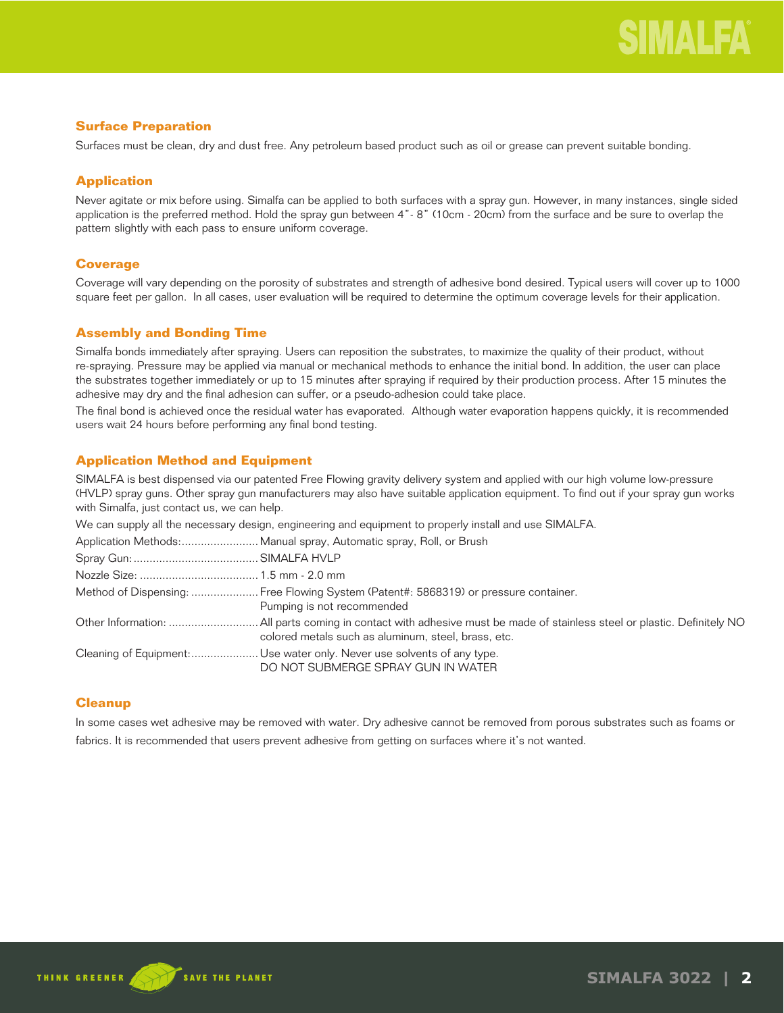## **Surface Preparation**

Surfaces must be clean, dry and dust free. Any petroleum based product such as oil or grease can prevent suitable bonding.

## **Application**

Never agitate or mix before using. Simalfa can be applied to both surfaces with a spray gun. However, in many instances, single sided application is the preferred method. Hold the spray gun between 4"- 8" (10cm - 20cm) from the surface and be sure to overlap the pattern slightly with each pass to ensure uniform coverage.

## **Coverage**

Coverage will vary depending on the porosity of substrates and strength of adhesive bond desired. Typical users will cover up to 1000 square feet per gallon. In all cases, user evaluation will be required to determine the optimum coverage levels for their application.

## **Assembly and Bonding Time**

Simalfa bonds immediately after spraying. Users can reposition the substrates, to maximize the quality of their product, without re-spraying. Pressure may be applied via manual or mechanical methods to enhance the initial bond. In addition, the user can place the substrates together immediately or up to 15 minutes after spraying if required by their production process. After 15 minutes the adhesive may dry and the final adhesion can suffer, or a pseudo-adhesion could take place.

The final bond is achieved once the residual water has evaporated. Although water evaporation happens quickly, it is recommended users wait 24 hours before performing any final bond testing.

## **Application Method and Equipment**

SIMALFA is best dispensed via our patented Free Flowing gravity delivery system and applied with our high volume low-pressure (HVLP) spray guns. Other spray gun manufacturers may also have suitable application equipment. To find out if your spray gun works with Simalfa, just contact us, we can help.

| We can supply all the necessary design, engineering and equipment to properly install and use SIMALFA.             |
|--------------------------------------------------------------------------------------------------------------------|
|                                                                                                                    |
|                                                                                                                    |
|                                                                                                                    |
| Method of Dispensing:  Free Flowing System (Patent#: 5868319) or pressure container.<br>Pumping is not recommended |
| colored metals such as aluminum, steel, brass, etc.                                                                |
| Cleaning of Equipment: Use water only. Never use solvents of any type.<br>DO NOT SUBMERGE SPRAY GUN IN WATER       |

## **Cleanup**

In some cases wet adhesive may be removed with water. Dry adhesive cannot be removed from porous substrates such as foams or fabrics. It is recommended that users prevent adhesive from getting on surfaces where it's not wanted.

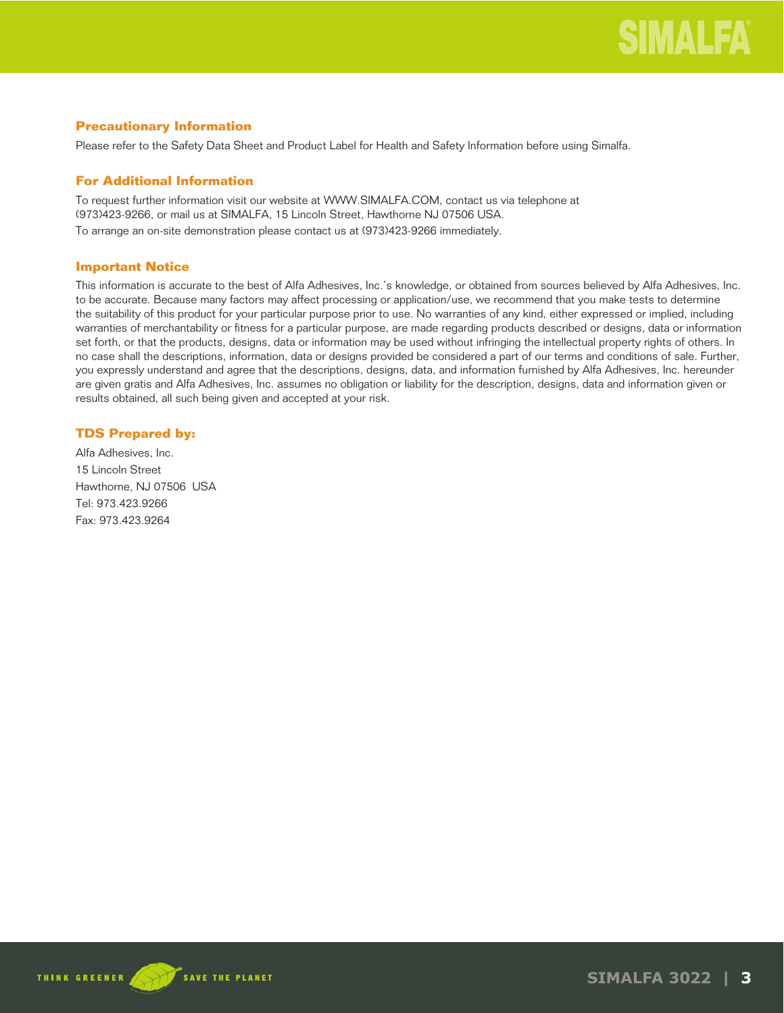## **Precautionary Information**

Please refer to the Safety Data Sheet and Product Label for Health and Safety Information before using Simalfa.

## **For Additional Information**

To request further information visit our website at WWW.SIMALFA.COM, contact us via telephone at (973)423-9266, or mail us at SIMALFA, 15 Lincoln Street, Hawthorne NJ 07506 USA.

To arrange an on-site demonstration please contact us at (973)423-9266 immediately.

## **Important Notice**

This information is accurate to the best of Alfa Adhesives, Inc.'s knowledge, or obtained from sources believed by Alfa Adhesives, Inc. to be accurate. Because many factors may affect processing or application/use, we recommend that you make tests to determine the suitability of this product for your particular purpose prior to use. No warranties of any kind, either expressed or implied, including warranties of merchantability or fitness for a particular purpose, are made regarding products described or designs, data or information set forth, or that the products, designs, data or information may be used without infringing the intellectual property rights of others. In no case shall the descriptions, information, data or designs provided be considered a part of our terms and conditions of sale. Further, you expressly understand and agree that the descriptions, designs, data, and information furnished by Alfa Adhesives, Inc. hereunder are given gratis and Alfa Adhesives, Inc. assumes no obligation or liability for the description, designs, data and information given or results obtained, all such being given and accepted at your risk.

## **TDS Prepared by:**

Alfa Adhesives, Inc. 15 Lincoln Street Hawthorne, NJ 07506 USA Tel: 973.423.9266 Fax: 973.423.9264



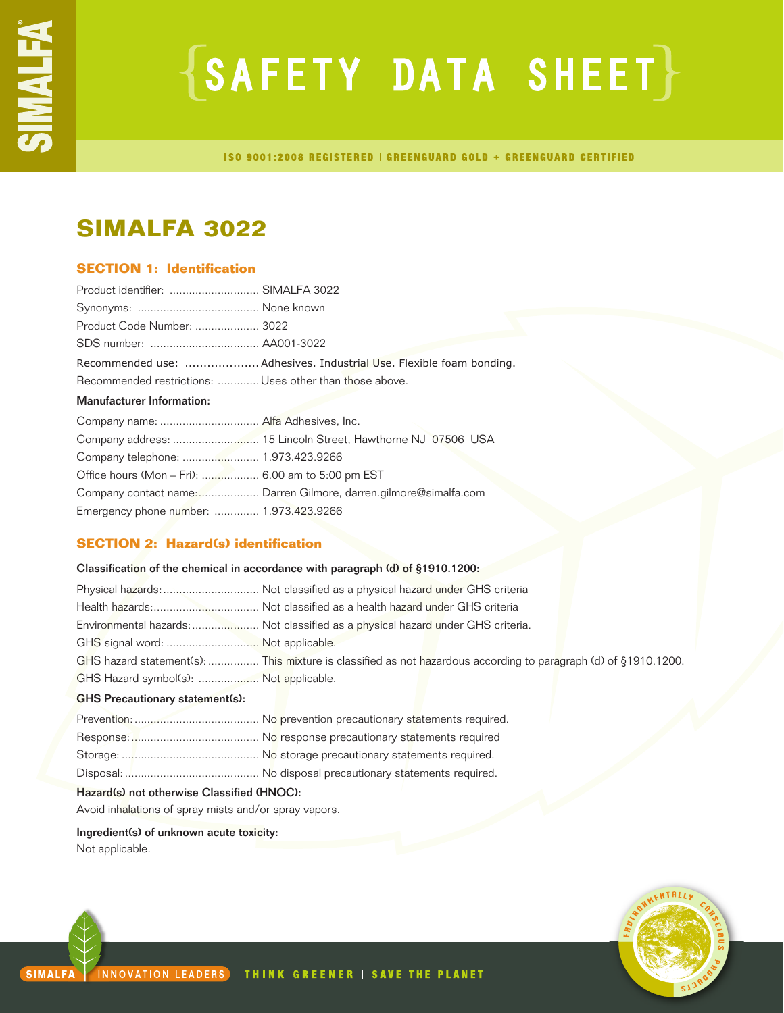# $\{SAFFITY$  DATA SHEET $\}$

ISO 9001:2008 REGISTERED | GREENGUARD GOLD + GREENGUARD CERTIFIED

## **SIMALFA 3022**

## **SECTION 1: Identification**

| Product identifier:  SIMALFA 3022                       |                                                                  |
|---------------------------------------------------------|------------------------------------------------------------------|
|                                                         |                                                                  |
| Product Code Number:  3022                              |                                                                  |
|                                                         |                                                                  |
|                                                         |                                                                  |
| Recommended restrictions:  Uses other than those above. |                                                                  |
| <b>Manufacturer Information:</b>                        |                                                                  |
|                                                         |                                                                  |
|                                                         |                                                                  |
|                                                         |                                                                  |
| Office hours (Mon – Fri):  6.00 am to 5:00 pm EST       |                                                                  |
|                                                         | Company contact name: Darren Gilmore, darren.gilmore@simalfa.com |
| Emergency phone number:  1.973.423.9266                 |                                                                  |

## **SECTION 2: Hazard(s) identification**

| Classification of the chemical in accordance with paragraph (d) of §1910.1200: |                                                                                                                 |  |
|--------------------------------------------------------------------------------|-----------------------------------------------------------------------------------------------------------------|--|
|                                                                                | Physical hazards:  Not classified as a physical hazard under GHS criteria                                       |  |
|                                                                                |                                                                                                                 |  |
|                                                                                | Environmental hazards: Not classified as a physical hazard under GHS criteria.                                  |  |
| GHS signal word:  Not applicable.                                              |                                                                                                                 |  |
|                                                                                | GHS hazard statement(s):  This mixture is classified as not hazardous according to paragraph (d) of §1910.1200. |  |
| GHS Hazard symbol(s):  Not applicable.                                         |                                                                                                                 |  |
| <b>GHS Precautionary statement(s):</b>                                         |                                                                                                                 |  |
|                                                                                |                                                                                                                 |  |
|                                                                                |                                                                                                                 |  |
|                                                                                |                                                                                                                 |  |

Disposal: .......................................... No disposal precautionary statements required.

## Hazard(s) not otherwise Classified (HNOC):

Avoid inhalations of spray mists and/or spray vapors.

Ingredient(s) of unknown acute toxicity: Not applicable.

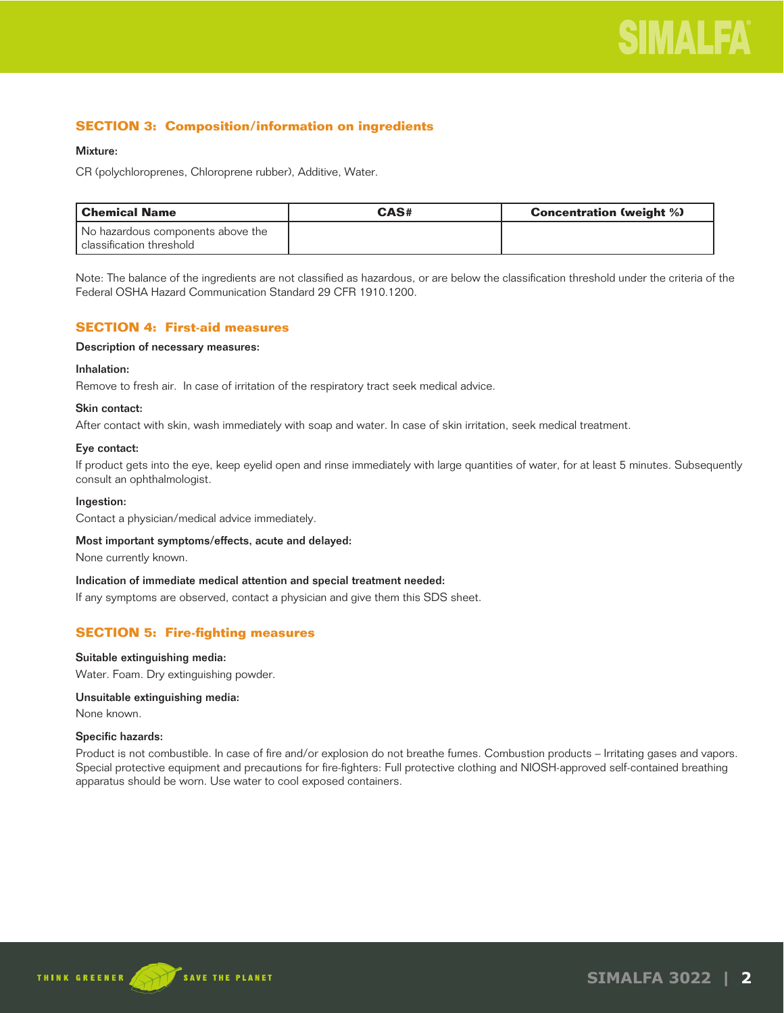## **SECTION 3: Composition/information on ingredients**

## Mixture:

CR (polychloroprenes, Chloroprene rubber), Additive, Water.

| l Chemical Name                   | CAS# | <b>Concentration (weight %)</b> |
|-----------------------------------|------|---------------------------------|
| No hazardous components above the |      |                                 |
| l classification threshold        |      |                                 |

Note: The balance of the ingredients are not classified as hazardous, or are below the classification threshold under the criteria of the Federal OSHA Hazard Communication Standard 29 CFR 1910.1200.

## **SECTION 4: First-aid measures**

## Description of necessary measures:

## Inhalation:

Remove to fresh air. In case of irritation of the respiratory tract seek medical advice.

## Skin contact:

After contact with skin, wash immediately with soap and water. In case of skin irritation, seek medical treatment.

## Eye contact:

If product gets into the eye, keep eyelid open and rinse immediately with large quantities of water, for at least 5 minutes. Subsequently consult an ophthalmologist.

#### Ingestion:

Contact a physician/medical advice immediately.

#### Most important symptoms/effects, acute and delayed:

None currently known.

#### Indication of immediate medical attention and special treatment needed:

If any symptoms are observed, contact a physician and give them this SDS sheet.

## **SECTION 5: Fire-fighting measures**

#### Suitable extinguishing media:

Water. Foam. Dry extinguishing powder.

## Unsuitable extinguishing media:

None known.

#### Specific hazards:

Product is not combustible. In case of fire and/or explosion do not breathe fumes. Combustion products – Irritating gases and vapors. Special protective equipment and precautions for fire-fighters: Full protective clothing and NIOSH-approved self-contained breathing apparatus should be worn. Use water to cool exposed containers.

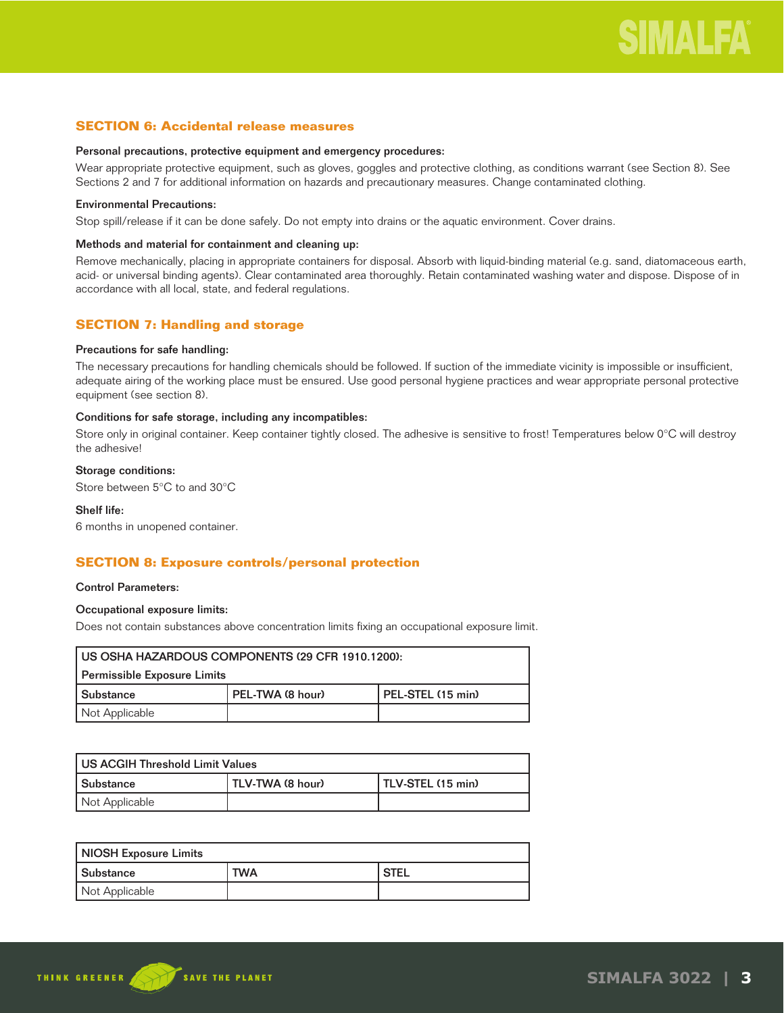## **SECTION 6: Accidental release measures**

#### Personal precautions, protective equipment and emergency procedures:

Wear appropriate protective equipment, such as gloves, goggles and protective clothing, as conditions warrant (see Section 8). See Sections 2 and 7 for additional information on hazards and precautionary measures. Change contaminated clothing.

## Environmental Precautions:

Stop spill/release if it can be done safely. Do not empty into drains or the aquatic environment. Cover drains.

### Methods and material for containment and cleaning up:

Remove mechanically, placing in appropriate containers for disposal. Absorb with liquid-binding material (e.g. sand, diatomaceous earth, acid- or universal binding agents). Clear contaminated area thoroughly. Retain contaminated washing water and dispose. Dispose of in accordance with all local, state, and federal regulations.

## **SECTION 7: Handling and storage**

#### Precautions for safe handling:

The necessary precautions for handling chemicals should be followed. If suction of the immediate vicinity is impossible or insufficient, adequate airing of the working place must be ensured. Use good personal hygiene practices and wear appropriate personal protective equipment (see section 8).

#### Conditions for safe storage, including any incompatibles:

Store only in original container. Keep container tightly closed. The adhesive is sensitive to frost! Temperatures below 0°C will destroy the adhesive!

## Storage conditions:

Store between 5°C to and 30°C

### Shelf life:

6 months in unopened container.

## **SECTION 8: Exposure controls/personal protection**

#### Control Parameters:

## Occupational exposure limits:

Does not contain substances above concentration limits fixing an occupational exposure limit.

| US OSHA HAZARDOUS COMPONENTS (29 CFR 1910.1200): |                  |                   |
|--------------------------------------------------|------------------|-------------------|
| Permissible Exposure Limits                      |                  |                   |
| l Substance                                      | PEL-TWA (8 hour) | PEL-STEL (15 min) |
| Not Applicable                                   |                  |                   |

| l US ACGIH Threshold Limit Values |                  |                   |
|-----------------------------------|------------------|-------------------|
| l Substance                       | TLV-TWA (8 hour) | TLV-STEL (15 min) |
| Not Applicable                    |                  |                   |

| <b>NIOSH Exposure Limits</b> |            |             |
|------------------------------|------------|-------------|
| <b>Substance</b>             | <b>TWA</b> | <b>STEL</b> |
| Not Applicable               |            |             |

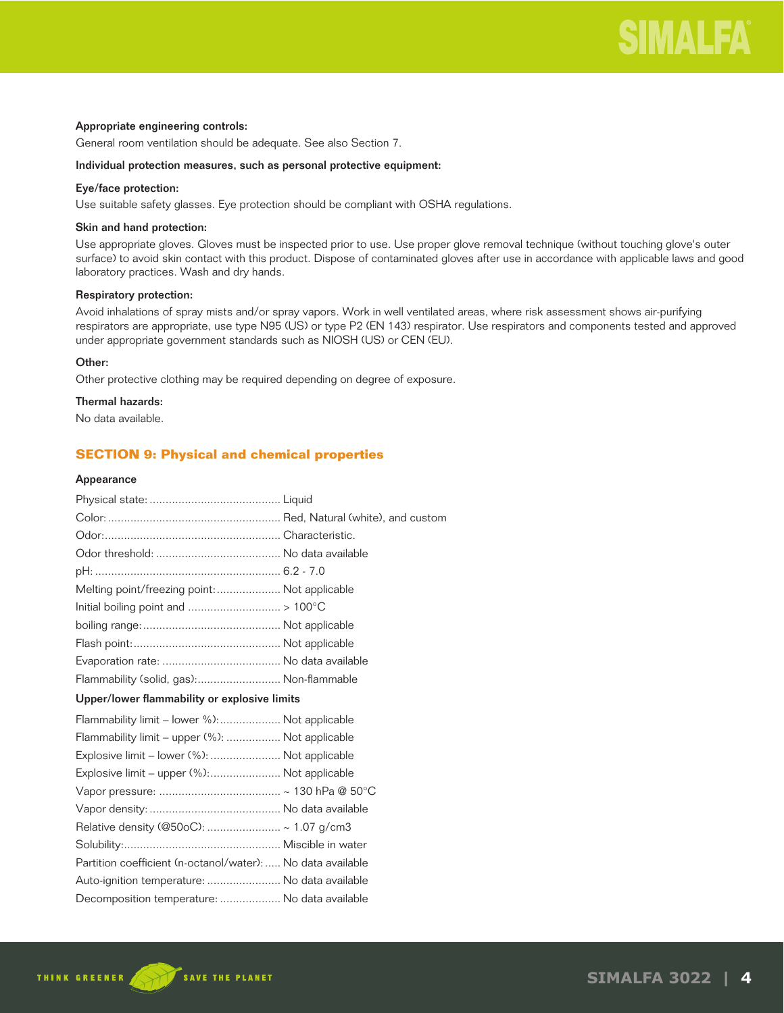### Appropriate engineering controls:

General room ventilation should be adequate. See also Section 7.

#### Individual protection measures, such as personal protective equipment:

## Eye/face protection:

Use suitable safety glasses. Eye protection should be compliant with OSHA regulations.

#### Skin and hand protection:

Use appropriate gloves. Gloves must be inspected prior to use. Use proper glove removal technique (without touching glove's outer surface) to avoid skin contact with this product. Dispose of contaminated gloves after use in accordance with applicable laws and good laboratory practices. Wash and dry hands.

## Respiratory protection:

Avoid inhalations of spray mists and/or spray vapors. Work in well ventilated areas, where risk assessment shows air-purifying respirators are appropriate, use type N95 (US) or type P2 (EN 143) respirator. Use respirators and components tested and approved under appropriate government standards such as NIOSH (US) or CEN (EU).

## Other:

Other protective clothing may be required depending on degree of exposure.

## Thermal hazards:

No data available.

## **SECTION 9: Physical and chemical properties**

#### Appearance

| Melting point/freezing point:  Not applicable               |  |
|-------------------------------------------------------------|--|
|                                                             |  |
|                                                             |  |
|                                                             |  |
|                                                             |  |
| Flammability (solid, gas): Non-flammable                    |  |
| Upper/lower flammability or explosive limits                |  |
| Flammability limit – lower %): Not applicable               |  |
| Flammability limit - upper (%):  Not applicable             |  |
| Explosive limit – lower (%):  Not applicable                |  |
| Explosive limit – upper (%): Not applicable                 |  |
|                                                             |  |
|                                                             |  |
| Relative density (@50oC):  ~ 1.07 g/cm3                     |  |
|                                                             |  |
| Partition coefficient (n-octanol/water):  No data available |  |
| Auto-ignition temperature:  No data available               |  |
| Decomposition temperature:  No data available               |  |
|                                                             |  |

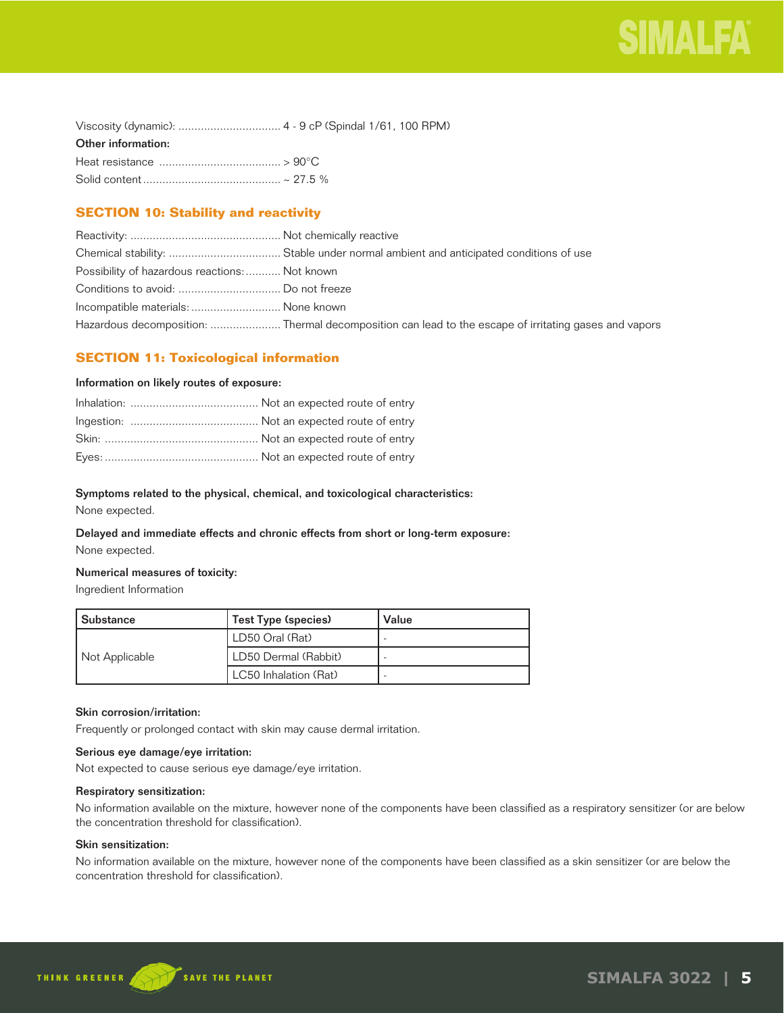| Other information: |  |
|--------------------|--|
|                    |  |
|                    |  |

## **SECTION 10: Stability and reactivity**

| Possibility of hazardous reactions:  Not known |                                                                                                       |
|------------------------------------------------|-------------------------------------------------------------------------------------------------------|
|                                                |                                                                                                       |
| Incompatible materials:  None known            |                                                                                                       |
|                                                | Hazardous decomposition:  Thermal decomposition can lead to the escape of irritating gases and vapors |

## **SECTION 11: Toxicological information**

## Information on likely routes of exposure:

## Symptoms related to the physical, chemical, and toxicological characteristics:

None expected.

## Delayed and immediate effects and chronic effects from short or long-term exposure: None expected.

## Numerical measures of toxicity:

Ingredient Information

| Substance      | Test Type (species)   | Value |
|----------------|-----------------------|-------|
|                | LD50 Oral (Rat)       |       |
| Not Applicable | LD50 Dermal (Rabbit)  |       |
|                | LC50 Inhalation (Rat) |       |

## Skin corrosion/irritation:

Frequently or prolonged contact with skin may cause dermal irritation.

## Serious eye damage/eye irritation:

Not expected to cause serious eye damage/eye irritation.

#### Respiratory sensitization:

No information available on the mixture, however none of the components have been classified as a respiratory sensitizer (or are below the concentration threshold for classification).

## Skin sensitization:

No information available on the mixture, however none of the components have been classified as a skin sensitizer (or are below the concentration threshold for classification).

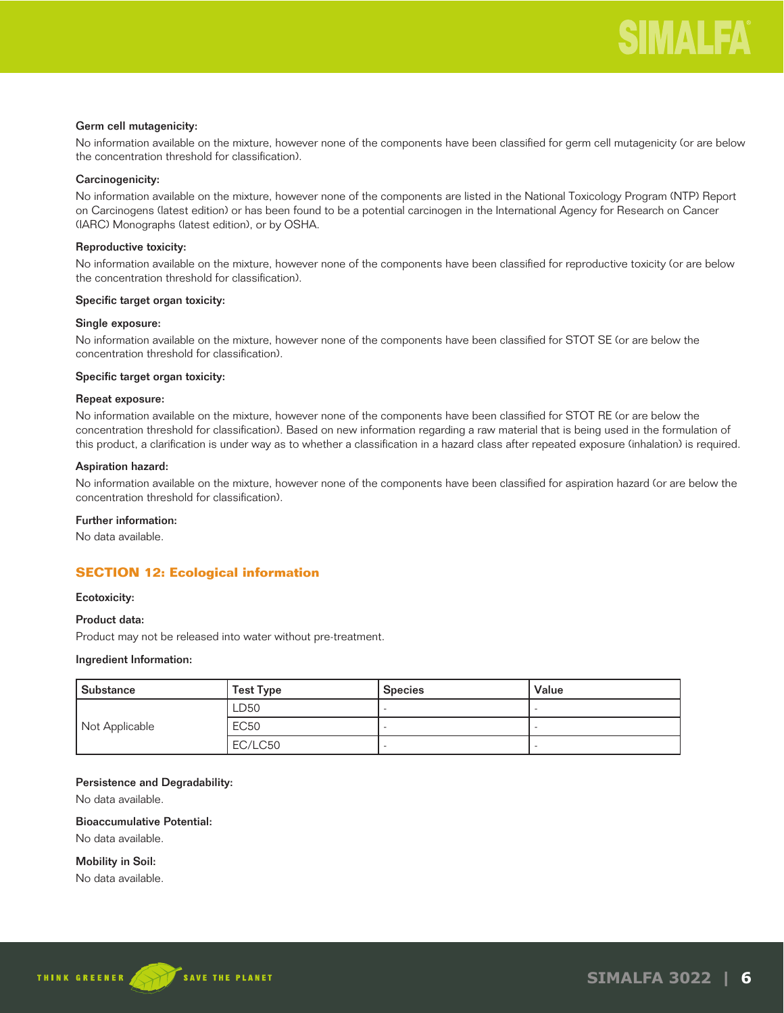## Germ cell mutagenicity:

No information available on the mixture, however none of the components have been classified for germ cell mutagenicity (or are below the concentration threshold for classification).

## Carcinogenicity:

No information available on the mixture, however none of the components are listed in the National Toxicology Program (NTP) Report on Carcinogens (latest edition) or has been found to be a potential carcinogen in the International Agency for Research on Cancer (IARC) Monographs (latest edition), or by OSHA.

## Reproductive toxicity:

No information available on the mixture, however none of the components have been classified for reproductive toxicity (or are below the concentration threshold for classification).

#### Specific target organ toxicity:

#### Single exposure:

No information available on the mixture, however none of the components have been classified for STOT SE (or are below the concentration threshold for classification).

#### Specific target organ toxicity:

## Repeat exposure:

No information available on the mixture, however none of the components have been classified for STOT RE (or are below the concentration threshold for classification). Based on new information regarding a raw material that is being used in the formulation of this product, a clarification is under way as to whether a classification in a hazard class after repeated exposure (inhalation) is required.

## Aspiration hazard:

No information available on the mixture, however none of the components have been classified for aspiration hazard (or are below the concentration threshold for classification).

## Further information:

No data available.

## **SECTION 12: Ecological information**

#### Ecotoxicity:

## Product data:

Product may not be released into water without pre-treatment.

#### Ingredient Information:

| Substance      | <b>Test Type</b> | <b>Species</b> | Value |
|----------------|------------------|----------------|-------|
|                | LD50             |                |       |
| Not Applicable | <b>EC50</b>      |                |       |
|                | EC/LC50          |                |       |

#### Persistence and Degradability:

No data available.

## Bioaccumulative Potential:

No data available.

Mobility in Soil:

No data available.

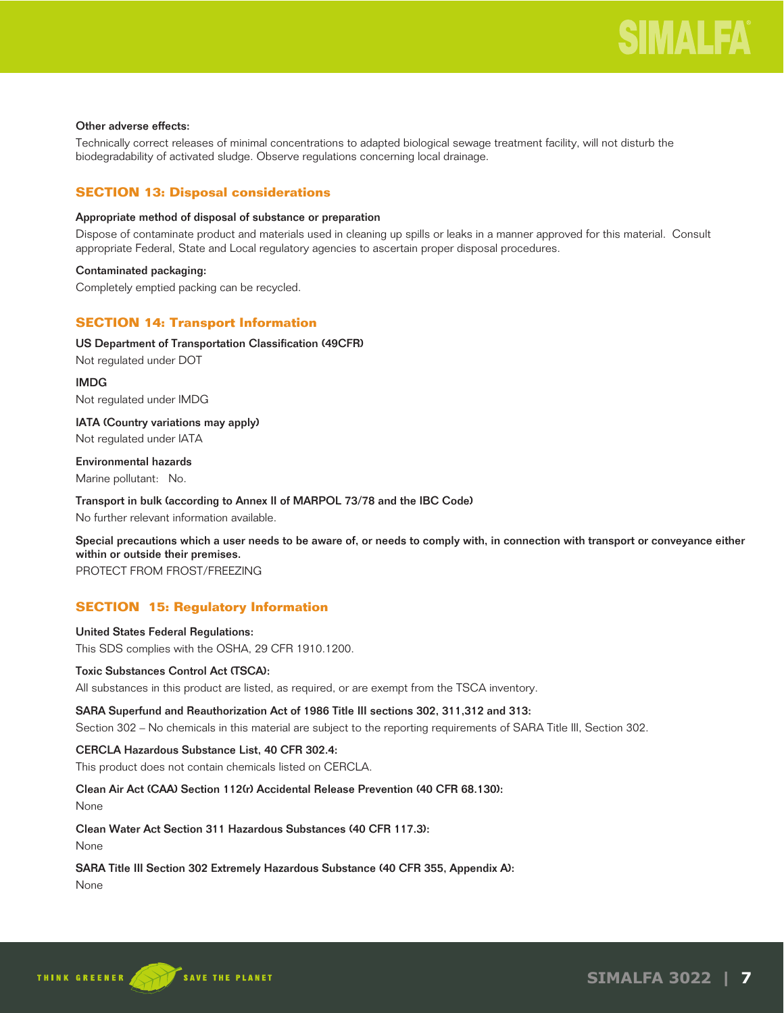## Other adverse effects:

Technically correct releases of minimal concentrations to adapted biological sewage treatment facility, will not disturb the biodegradability of activated sludge. Observe regulations concerning local drainage.

## **SECTION 13: Disposal considerations**

## Appropriate method of disposal of substance or preparation

Dispose of contaminate product and materials used in cleaning up spills or leaks in a manner approved for this material. Consult appropriate Federal, State and Local regulatory agencies to ascertain proper disposal procedures.

## Contaminated packaging:

Completely emptied packing can be recycled.

## **SECTION 14: Transport Information**

## US Department of Transportation Classification (49CFR)

Not regulated under DOT

IMDG Not regulated under IMDG

IATA (Country variations may apply) Not regulated under IATA

Environmental hazards Marine pollutant: No.

Transport in bulk (according to Annex II of MARPOL 73/78 and the IBC Code) No further relevant information available.

Special precautions which a user needs to be aware of, or needs to comply with, in connection with transport or conveyance either within or outside their premises.

PROTECT FROM FROST/FREEZING

## **SECTION 15: Regulatory Information**

## United States Federal Regulations: This SDS complies with the OSHA, 29 CFR 1910.1200.

## Toxic Substances Control Act (TSCA):

All substances in this product are listed, as required, or are exempt from the TSCA inventory.

## SARA Superfund and Reauthorization Act of 1986 Title III sections 302, 311,312 and 313:

Section 302 – No chemicals in this material are subject to the reporting requirements of SARA Title III, Section 302.

## CERCLA Hazardous Substance List, 40 CFR 302.4:

This product does not contain chemicals listed on CERCLA.

## Clean Air Act (CAA) Section 112(r) Accidental Release Prevention (40 CFR 68.130):

None

Clean Water Act Section 311 Hazardous Substances (40 CFR 117.3):

None

## SARA Title III Section 302 Extremely Hazardous Substance (40 CFR 355, Appendix A):

None

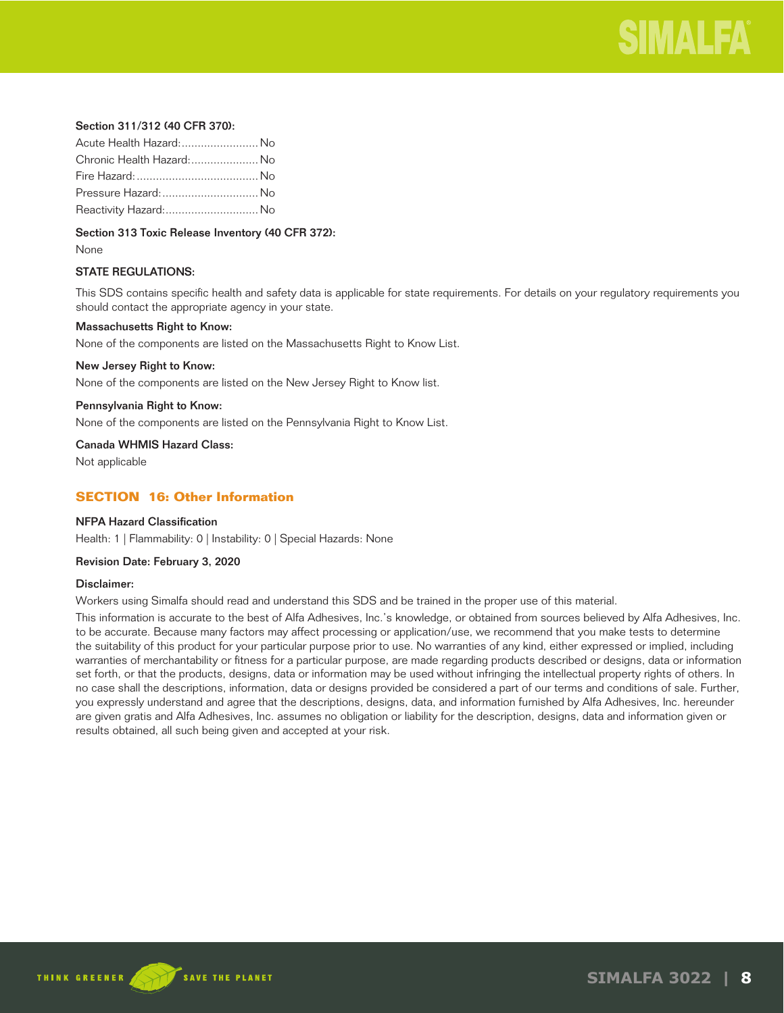

## Section 311/312 (40 CFR 370):

| Acute Health Hazard: No   |  |
|---------------------------|--|
| Chronic Health Hazard: No |  |
|                           |  |
| Pressure Hazard:  No      |  |
| Reactivity Hazard: No     |  |

Section 313 Toxic Release Inventory (40 CFR 372):

None

## STATE REGULATIONS:

This SDS contains specific health and safety data is applicable for state requirements. For details on your regulatory requirements you should contact the appropriate agency in your state.

#### Massachusetts Right to Know:

None of the components are listed on the Massachusetts Right to Know List.

#### New Jersey Right to Know:

None of the components are listed on the New Jersey Right to Know list.

#### Pennsylvania Right to Know:

None of the components are listed on the Pennsylvania Right to Know List.

Canada WHMIS Hazard Class:

Not applicable

## **SECTION 16: Other Information**

## NFPA Hazard Classification

Health: 1 | Flammability: 0 | Instability: 0 | Special Hazards: None

#### Revision Date: February 3, 2020

#### Disclaimer:

Workers using Simalfa should read and understand this SDS and be trained in the proper use of this material.

This information is accurate to the best of Alfa Adhesives, Inc.'s knowledge, or obtained from sources believed by Alfa Adhesives, Inc. to be accurate. Because many factors may affect processing or application/use, we recommend that you make tests to determine the suitability of this product for your particular purpose prior to use. No warranties of any kind, either expressed or implied, including warranties of merchantability or fitness for a particular purpose, are made regarding products described or designs, data or information set forth, or that the products, designs, data or information may be used without infringing the intellectual property rights of others. In no case shall the descriptions, information, data or designs provided be considered a part of our terms and conditions of sale. Further, you expressly understand and agree that the descriptions, designs, data, and information furnished by Alfa Adhesives, Inc. hereunder are given gratis and Alfa Adhesives, Inc. assumes no obligation or liability for the description, designs, data and information given or results obtained, all such being given and accepted at your risk.

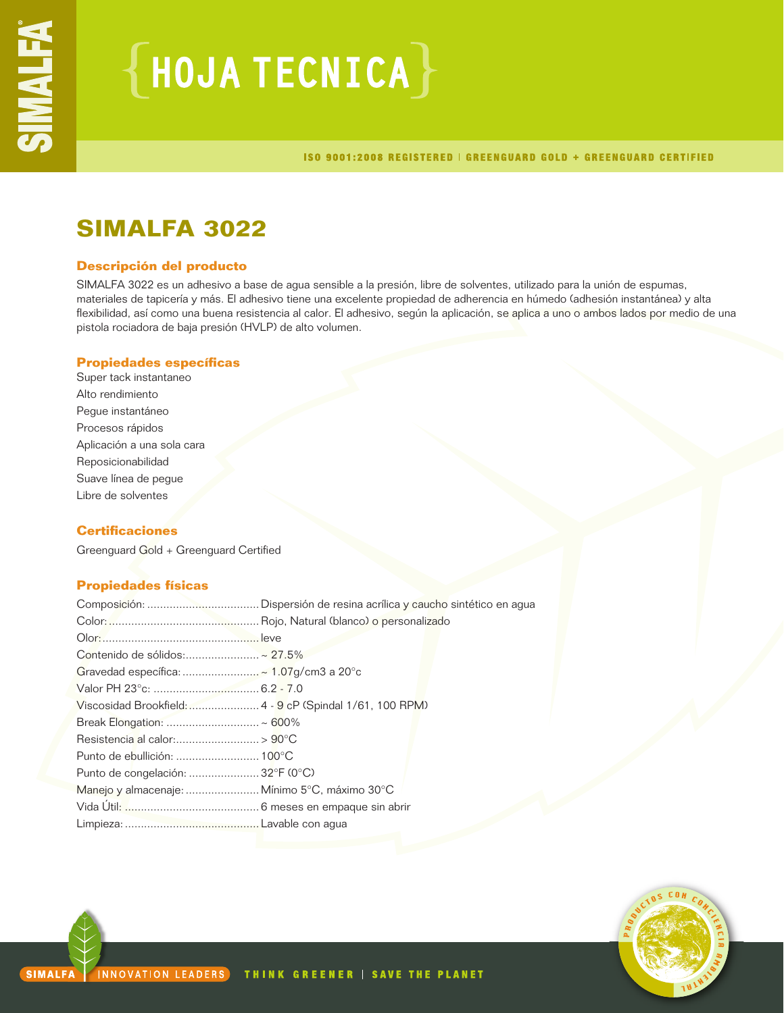# $\{$  HOJA TECNICA $\}$

ISO 9001:2008 REGISTERED | GREENGUARD GOLD + GREENGUARD CERTIFIED

## **SIMALFA 3022**

## **Descripción del producto**

SIMALFA 3022 es un adhesivo a base de agua sensible a la presión, libre de solventes, utilizado para la unión de espumas, materiales de tapicería y más. El adhesivo tiene una excelente propiedad de adherencia en húmedo (adhesión instantánea) y alta flexibilidad, así como una buena resistencia al calor. El adhesivo, según la aplicación, se aplica a uno o ambos lados por medio de una pistola rociadora de baja presión (HVLP) de alto volumen.

## **Propiedades específicas**

Super tack instantaneo Alto rendimiento Pegue instantáneo Procesos rápidos Aplicación a una sola cara Reposicionabilidad Suave línea de pegue Libre de solventes

## **Certificaciones**

Greenguard Gold + Greenguard Certified

## **Propiedades físicas**

| Contenido de sólidos:~ 27.5%                             |  |
|----------------------------------------------------------|--|
|                                                          |  |
|                                                          |  |
| Viscosidad Brookfield:  4 - 9 cP (Spindal 1/61, 100 RPM) |  |
|                                                          |  |
|                                                          |  |
|                                                          |  |
| Punto de congelación:  32°F (0°C)                        |  |
| Manejo y almacenaje:  Mínimo 5°C, máximo 30°C            |  |
|                                                          |  |
|                                                          |  |

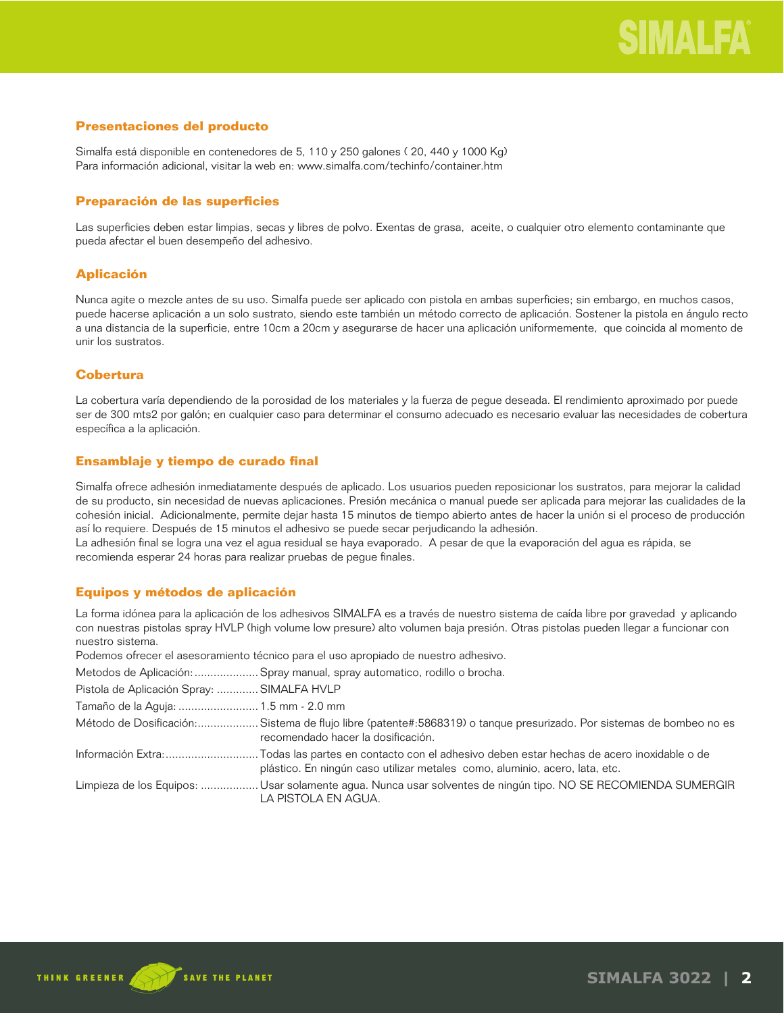## **Presentaciones del producto**

Simalfa está disponible en contenedores de 5, 110 y 250 galones ( 20, 440 y 1000 Kg) Para información adicional, visitar la web en: www.simalfa.com/techinfo/container.htm

## **Preparación de las superficies**

Las superficies deben estar limpias, secas y libres de polvo. Exentas de grasa, aceite, o cualquier otro elemento contaminante que pueda afectar el buen desempeño del adhesivo.

## **Aplicación**

Nunca agite o mezcle antes de su uso. Simalfa puede ser aplicado con pistola en ambas superficies; sin embargo, en muchos casos, puede hacerse aplicación a un solo sustrato, siendo este también un método correcto de aplicación. Sostener la pistola en ángulo recto a una distancia de la superficie, entre 10cm a 20cm y asegurarse de hacer una aplicación uniformemente, que coincida al momento de unir los sustratos.

## **Cobertura**

La cobertura varía dependiendo de la porosidad de los materiales y la fuerza de pegue deseada. El rendimiento aproximado por puede ser de 300 mts2 por galón; en cualquier caso para determinar el consumo adecuado es necesario evaluar las necesidades de cobertura específica a la aplicación.

## **Ensamblaje y tiempo de curado final**

Simalfa ofrece adhesión inmediatamente después de aplicado. Los usuarios pueden reposicionar los sustratos, para mejorar la calidad de su producto, sin necesidad de nuevas aplicaciones. Presión mecánica o manual puede ser aplicada para mejorar las cualidades de la cohesión inicial. Adicionalmente, permite dejar hasta 15 minutos de tiempo abierto antes de hacer la unión si el proceso de producción así lo requiere. Después de 15 minutos el adhesivo se puede secar perjudicando la adhesión.

La adhesión final se logra una vez el agua residual se haya evaporado. A pesar de que la evaporación del agua es rápida, se recomienda esperar 24 horas para realizar pruebas de pegue finales.

## **Equipos y métodos de aplicación**

La forma idónea para la aplicación de los adhesivos SIMALFA es a través de nuestro sistema de caída libre por gravedad y aplicando con nuestras pistolas spray HVLP (high volume low presure) alto volumen baja presión. Otras pistolas pueden llegar a funcionar con nuestro sistema.

Podemos ofrecer el asesoramiento técnico para el uso apropiado de nuestro adhesivo.

Metodos de Aplicación: ....................Spray manual, spray automatico, rodillo o brocha.

| Pistola de Aplicación Spray:  SIMALFA HVLP |                                                                                                                                                           |
|--------------------------------------------|-----------------------------------------------------------------------------------------------------------------------------------------------------------|
| Tamaño de la Aguja:  1.5 mm - 2.0 mm       |                                                                                                                                                           |
|                                            | Método de Dosificación:Sistema de flujo libre (patente#:5868319) o tanque presurizado. Por sistemas de bombeo no es<br>recomendado hacer la dosificación. |
|                                            | plástico. En ningún caso utilizar metales como, aluminio, acero, lata, etc.                                                                               |
|                                            | Limpieza de los Equipos:  Usar solamente agua. Nunca usar solventes de ningún tipo. NO SE RECOMIENDA SUMERGIR<br>LA PISTOLA EN AGUA.                      |

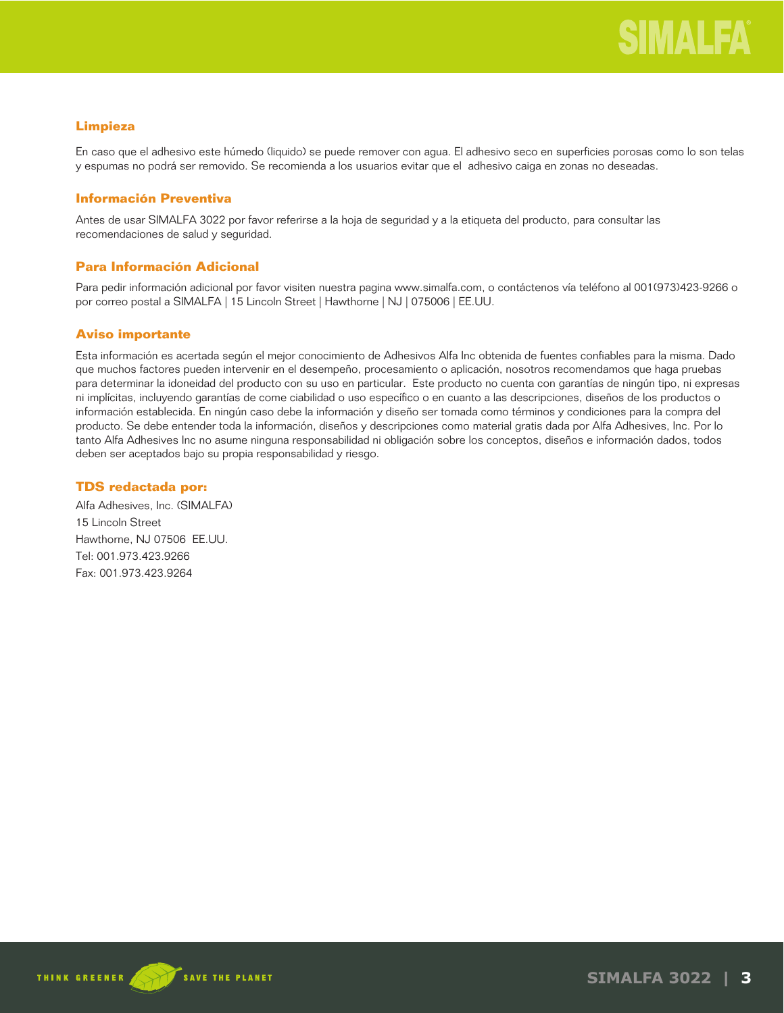## **Limpieza**

En caso que el adhesivo este húmedo (liquido) se puede remover con agua. El adhesivo seco en superficies porosas como lo son telas y espumas no podrá ser removido. Se recomienda a los usuarios evitar que el adhesivo caiga en zonas no deseadas.

## **Información Preventiva**

Antes de usar SIMALFA 3022 por favor referirse a la hoja de seguridad y a la etiqueta del producto, para consultar las recomendaciones de salud y seguridad.

## **Para Información Adicional**

Para pedir información adicional por favor visiten nuestra pagina www.simalfa.com, o contáctenos vía teléfono al 001(973)423-9266 o por correo postal a SIMALFA | 15 Lincoln Street | Hawthorne | NJ | 075006 | EE.UU.

## **Aviso importante**

Esta información es acertada según el mejor conocimiento de Adhesivos Alfa Inc obtenida de fuentes confiables para la misma. Dado que muchos factores pueden intervenir en el desempeño, procesamiento o aplicación, nosotros recomendamos que haga pruebas para determinar la idoneidad del producto con su uso en particular. Este producto no cuenta con garantías de ningún tipo, ni expresas ni implícitas, incluyendo garantías de come ciabilidad o uso específico o en cuanto a las descripciones, diseños de los productos o información establecida. En ningún caso debe la información y diseño ser tomada como términos y condiciones para la compra del producto. Se debe entender toda la información, diseños y descripciones como material gratis dada por Alfa Adhesives, Inc. Por lo tanto Alfa Adhesives Inc no asume ninguna responsabilidad ni obligación sobre los conceptos, diseños e información dados, todos deben ser aceptados bajo su propia responsabilidad y riesgo.

## **TDS redactada por:**

Alfa Adhesives, Inc. (SIMALFA) 15 Lincoln Street Hawthorne, NJ 07506 EE.UU. Tel: 001.973.423.9266 Fax: 001.973.423.9264

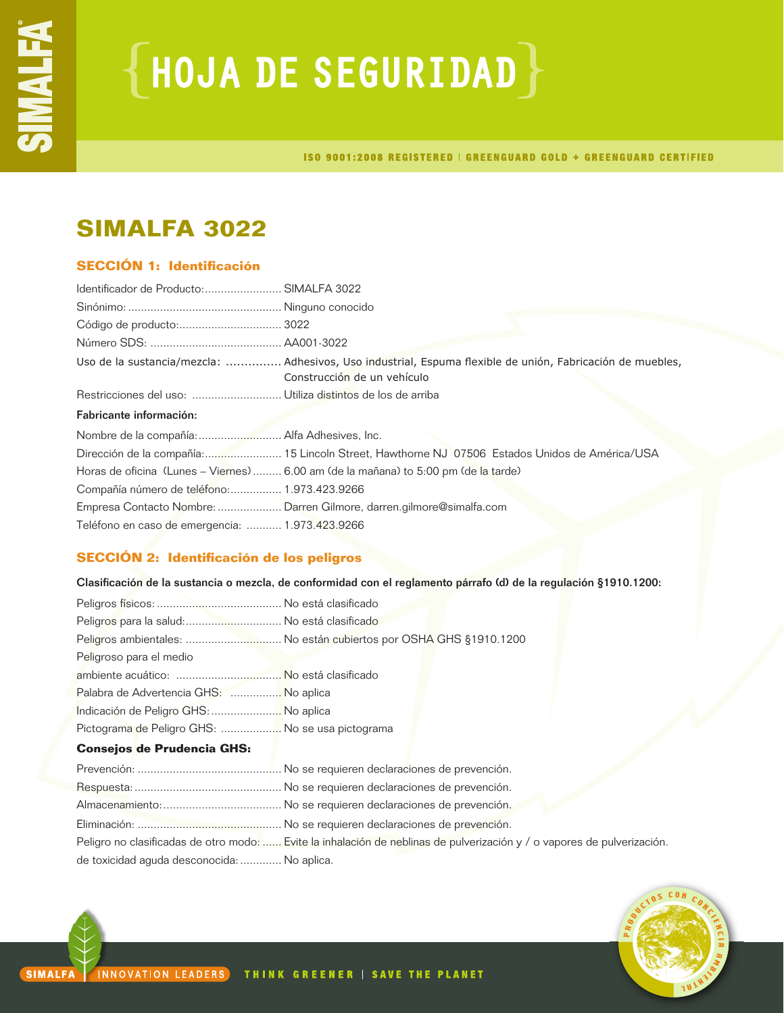# ${HoudA DE SEGURIDAD}$

ISO 9001:2008 REGISTERED | GREENGUARD GOLD + GREENGUARD CERTIFIED

## **SIMALFA 3022**

## **SECCIÓN 1: Identificación**

| Identificador de Producto: SIMALFA 3022                              |                                                                                                                                          |
|----------------------------------------------------------------------|------------------------------------------------------------------------------------------------------------------------------------------|
|                                                                      |                                                                                                                                          |
|                                                                      |                                                                                                                                          |
|                                                                      |                                                                                                                                          |
|                                                                      | Uso de la sustancia/mezcla:  Adhesivos, Uso industrial, Espuma flexible de unión, Fabricación de muebles,<br>Construcción de un vehículo |
|                                                                      |                                                                                                                                          |
| Fabricante información:                                              |                                                                                                                                          |
|                                                                      |                                                                                                                                          |
|                                                                      | Dirección de la compañía: 15 Lincoln Street, Hawthorne NJ 07506 Estados Unidos de América/USA                                            |
|                                                                      | Horas de oficina (Lunes – Viernes)  6.00 am (de la mañana) to 5:00 pm (de la tarde)                                                      |
| Compañía número de teléfono: 1.973.423.9266                          |                                                                                                                                          |
| Empresa Contacto Nombre:  Darren Gilmore, darren.gilmore@simalfa.com |                                                                                                                                          |
|                                                                      |                                                                                                                                          |

## **SECCIÓN 2: Identificación de los peligros**

Clasificación de la sustancia o mezcla, de conformidad con el reglamento párrafo (d) de la regulación §1910.1200:

| Peligros para la salud: No está clasificado      |                                                                   |
|--------------------------------------------------|-------------------------------------------------------------------|
|                                                  | Peligros ambientales:  No están cubiertos por OSHA GHS §1910.1200 |
| Peligroso para el medio                          |                                                                   |
|                                                  |                                                                   |
| Palabra de Advertencia GHS:  No aplica           |                                                                   |
| Indicación de Peligro GHS:  No aplica            |                                                                   |
| Pictograma de Peligro GHS:  No se usa pictograma |                                                                   |
| <b>Consejos de Prudencia GHS:</b>                |                                                                   |
|                                                  |                                                                   |
|                                                  |                                                                   |
|                                                  |                                                                   |
|                                                  |                                                                   |

Peligro no clasificadas de otro modo: ...... Evite la inhalación de neblinas de pulverización y / o vapores de pulverización.

de toxicidad aguda desconocida:............. No aplica.

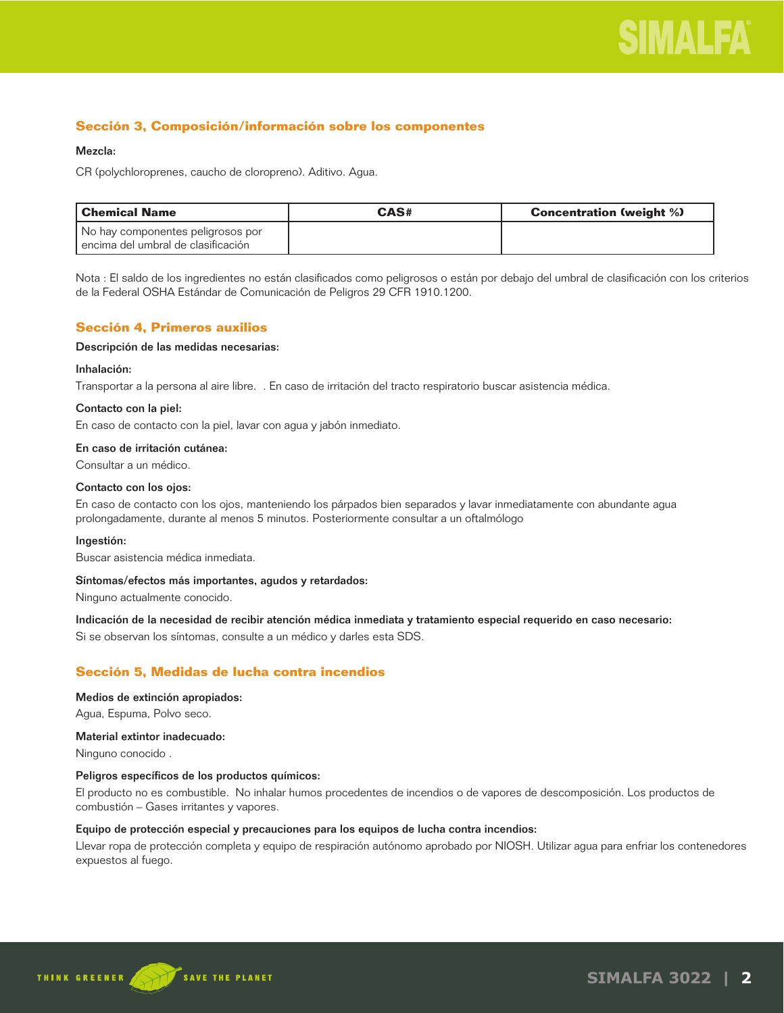

## **Sección 3, Composición/información sobre los componentes**

#### Mezcla:

CR (polychloroprenes, caucho de cloropreno). Aditivo. Agua.

| l Chemical Name                        | CAS# | <b>Concentration (weight %)</b> |
|----------------------------------------|------|---------------------------------|
| No hay componentes peligrosos por      |      |                                 |
| l encima del umbral de clasificación l |      |                                 |

Nota : El saldo de los ingredientes no están clasificados como peligrosos o están por debajo del umbral de clasificación con los criterios de la Federal OSHA Estándar de Comunicación de Peligros 29 CFR 1910.1200.

## **Sección 4, Primeros auxilios**

#### Descripción de las medidas necesarias:

#### Inhalación:

Transportar a la persona al aire libre. . En caso de irritación del tracto respiratorio buscar asistencia médica.

#### Contacto con la piel:

En caso de contacto con la piel, lavar con agua y jabón inmediato.

#### En caso de irritación cutánea:

Consultar a un médico.

#### Contacto con los ojos:

En caso de contacto con los ojos, manteniendo los párpados bien separados y lavar inmediatamente con abundante agua prolongadamente, durante al menos 5 minutos. Posteriormente consultar a un oftalmólogo

#### Ingestión:

Buscar asistencia médica inmediata.

#### Síntomas/efectos más importantes, agudos y retardados:

Ninguno actualmente conocido.

Indicación de la necesidad de recibir atención médica inmediata y tratamiento especial requerido en caso necesario:

Si se observan los síntomas, consulte a un médico y darles esta SDS.

## **Sección 5, Medidas de lucha contra incendios**

#### Medios de extinción apropiados:

Agua, Espuma, Polvo seco.

## Material extintor inadecuado:

Ninguno conocido .

#### Peligros específicos de los productos químicos:

El producto no es combustible. No inhalar humos procedentes de incendios o de vapores de descomposición. Los productos de combustión – Gases irritantes y vapores.

## Equipo de protección especial y precauciones para los equipos de lucha contra incendios:

Llevar ropa de protección completa y equipo de respiración autónomo aprobado por NIOSH. Utilizar agua para enfriar los contenedores expuestos al fuego.

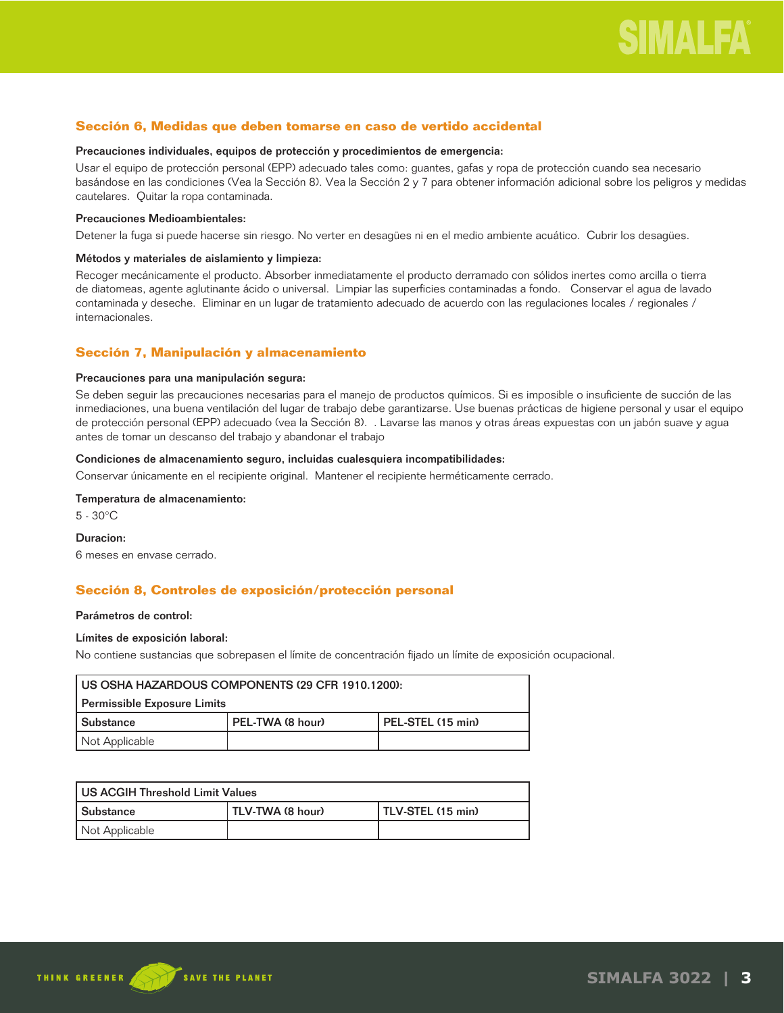## **Sección 6, Medidas que deben tomarse en caso de vertido accidental**

#### Precauciones individuales, equipos de protección y procedimientos de emergencia:

Usar el equipo de protección personal (EPP) adecuado tales como: guantes, gafas y ropa de protección cuando sea necesario basándose en las condiciones (Vea la Sección 8). Vea la Sección 2 y 7 para obtener información adicional sobre los peligros y medidas cautelares. Quitar la ropa contaminada.

#### Precauciones Medioambientales:

Detener la fuga si puede hacerse sin riesgo. No verter en desagües ni en el medio ambiente acuático. Cubrir los desagües.

#### Métodos y materiales de aislamiento y limpieza:

Recoger mecánicamente el producto. Absorber inmediatamente el producto derramado con sólidos inertes como arcilla o tierra de diatomeas, agente aglutinante ácido o universal. Limpiar las superficies contaminadas a fondo. Conservar el agua de lavado contaminada y deseche. Eliminar en un lugar de tratamiento adecuado de acuerdo con las regulaciones locales / regionales / internacionales.

## **Sección 7, Manipulación y almacenamiento**

#### Precauciones para una manipulación segura:

Se deben seguir las precauciones necesarias para el manejo de productos químicos. Si es imposible o insuficiente de succión de las inmediaciones, una buena ventilación del lugar de trabajo debe garantizarse. Use buenas prácticas de higiene personal y usar el equipo de protección personal (EPP) adecuado (vea la Sección 8). . Lavarse las manos y otras áreas expuestas con un jabón suave y agua antes de tomar un descanso del trabajo y abandonar el trabajo

## Condiciones de almacenamiento seguro, incluidas cualesquiera incompatibilidades:

Conservar únicamente en el recipiente original. Mantener el recipiente herméticamente cerrado.

## Temperatura de almacenamiento:

5 - 30°C

#### Duracion:

6 meses en envase cerrado.

## **Sección 8, Controles de exposición/protección personal**

#### Parámetros de control:

#### Límites de exposición laboral:

No contiene sustancias que sobrepasen el límite de concentración fijado un límite de exposición ocupacional.

| US OSHA HAZARDOUS COMPONENTS (29 CFR 1910.1200):            |  |  |
|-------------------------------------------------------------|--|--|
| Permissible Exposure Limits                                 |  |  |
| PEL-TWA (8 hour)<br>l PEL-STEL (15 min)<br><b>Substance</b> |  |  |
| Not Applicable                                              |  |  |

| US ACGIH Threshold Limit Values |                  |                   |
|---------------------------------|------------------|-------------------|
| l Substance                     | TLV-TWA (8 hour) | TLV-STEL (15 min) |
| Not Applicable                  |                  |                   |

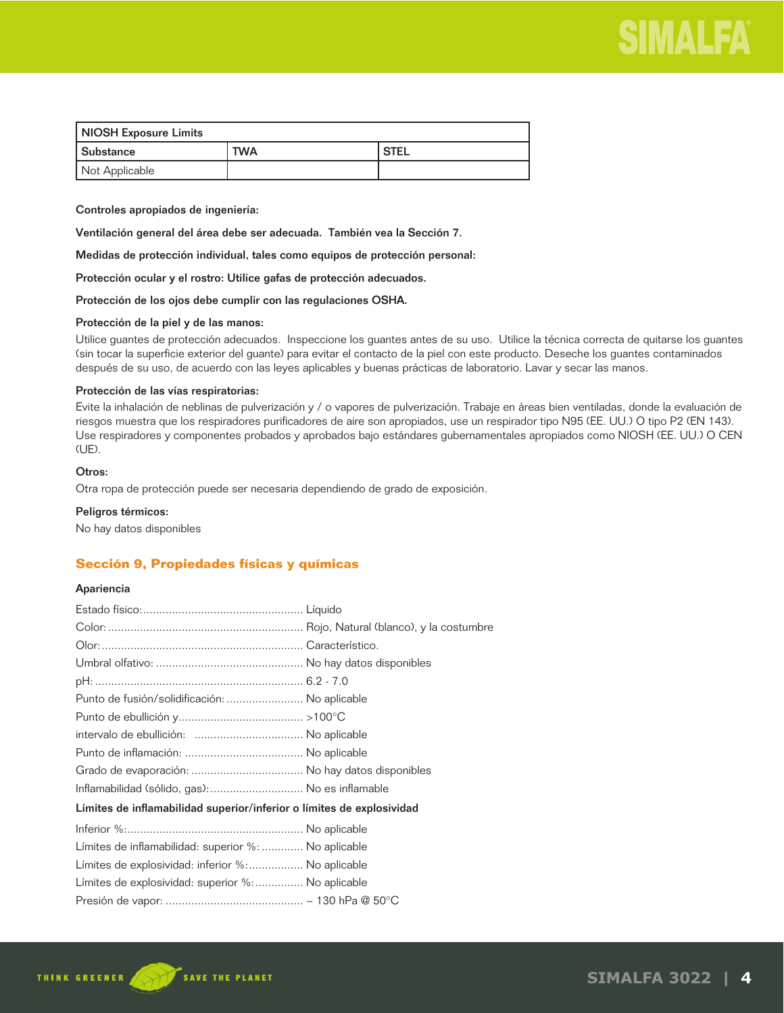

| NIOSH Exposure Limits |            |                   |
|-----------------------|------------|-------------------|
| Substance             | <b>TWA</b> | <sup>I</sup> STEL |
| Not Applicable        |            |                   |

Controles apropiados de ingeniería:

Ventilación general del área debe ser adecuada. También vea la Sección 7.

Medidas de protección individual, tales como equipos de protección personal:

Protección ocular y el rostro: Utilice gafas de protección adecuados.

Protección de los ojos debe cumplir con las regulaciones OSHA.

#### Protección de la piel y de las manos:

Utilice guantes de protección adecuados. Inspeccione los guantes antes de su uso. Utilice la técnica correcta de quitarse los guantes (sin tocar la superficie exterior del guante) para evitar el contacto de la piel con este producto. Deseche los guantes contaminados después de su uso, de acuerdo con las leyes aplicables y buenas prácticas de laboratorio. Lavar y secar las manos.

#### Protección de las vías respiratorias:

Evite la inhalación de neblinas de pulverización y / o vapores de pulverización. Trabaje en áreas bien ventiladas, donde la evaluación de riesgos muestra que los respiradores purificadores de aire son apropiados, use un respirador tipo N95 (EE. UU.) O tipo P2 (EN 143). Use respiradores y componentes probados y aprobados bajo estándares gubernamentales apropiados como NIOSH (EE. UU.) O CEN (UE).

## Otros:

Otra ropa de protección puede ser necesaria dependiendo de grado de exposición.

#### Peligros térmicos:

No hay datos disponibles

## **Sección 9, Propiedades físicas y químicas**

### Apariencia

| Punto de fusión/solidificación:  No aplicable                         |  |
|-----------------------------------------------------------------------|--|
|                                                                       |  |
|                                                                       |  |
|                                                                       |  |
|                                                                       |  |
| Inflamabilidad (sólido, gas):  No es inflamable                       |  |
| Límites de inflamabilidad superior/inferior o límites de explosividad |  |
|                                                                       |  |
| Límites de inflamabilidad: superior %:  No aplicable                  |  |
| Límites de explosividad: inferior %: No aplicable                     |  |
| Límites de explosividad: superior %: No aplicable                     |  |
|                                                                       |  |

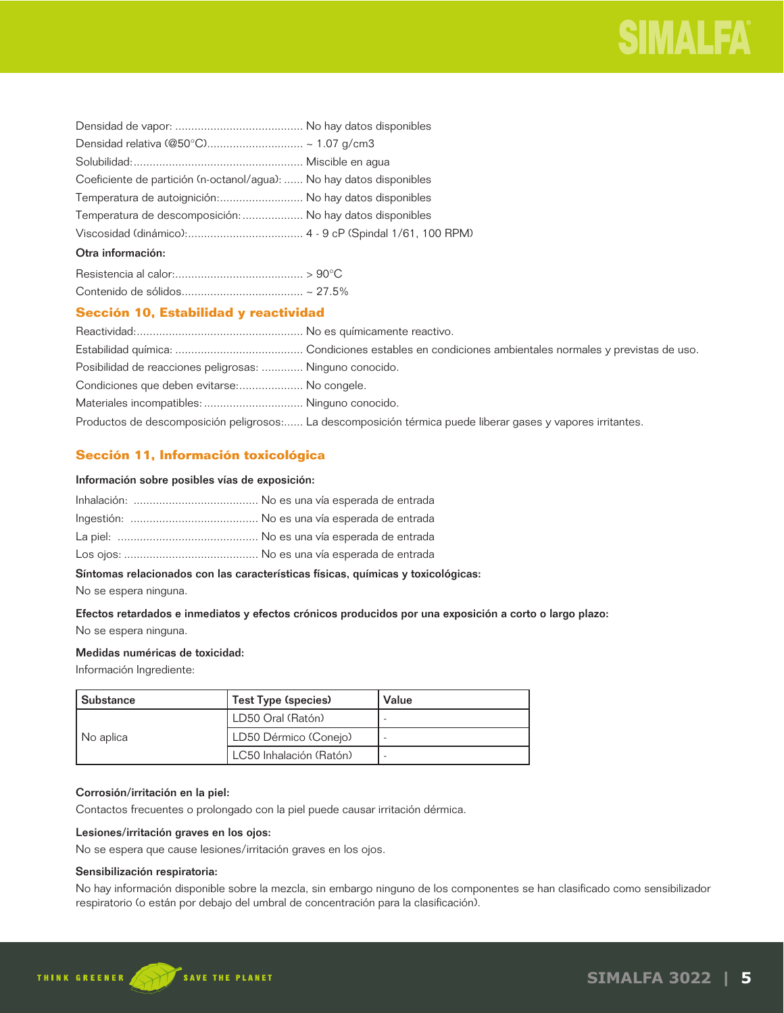

| Coeficiente de partición (n-octanol/agua):  No hay datos disponibles |  |
|----------------------------------------------------------------------|--|
| Temperatura de autoignición: No hay datos disponibles                |  |
| Temperatura de descomposición:  No hay datos disponibles             |  |
|                                                                      |  |
| Otra información:                                                    |  |

## **Sección 10, Estabilidad y reactividad**

| Posibilidad de reacciones peligrosas:  Ninguno conocido. |                                                                                                             |
|----------------------------------------------------------|-------------------------------------------------------------------------------------------------------------|
| Condiciones que deben evitarse: No congele.              |                                                                                                             |
|                                                          |                                                                                                             |
|                                                          | Productos de descomposición peligrosos: La descomposición térmica puede liberar gases y vapores irritantes. |

## **Sección 11, Información toxicológica**

### Información sobre posibles vías de exposición:

## Síntomas relacionados con las características físicas, químicas y toxicológicas:

No se espera ninguna.

## Efectos retardados e inmediatos y efectos crónicos producidos por una exposición a corto o largo plazo: No se espera ninguna.

### Medidas numéricas de toxicidad:

Información Ingrediente:

| l Substance | Test Type (species)     | Value |
|-------------|-------------------------|-------|
| No aplica   | LD50 Oral (Ratón)       |       |
|             | LD50 Dérmico (Conejo)   |       |
|             | LC50 Inhalación (Ratón) |       |

## Corrosión/irritación en la piel:

Contactos frecuentes o prolongado con la piel puede causar irritación dérmica.

## Lesiones/irritación graves en los ojos:

No se espera que cause lesiones/irritación graves en los ojos.

## Sensibilización respiratoria:

No hay información disponible sobre la mezcla, sin embargo ninguno de los componentes se han clasificado como sensibilizador respiratorio (o están por debajo del umbral de concentración para la clasificación).

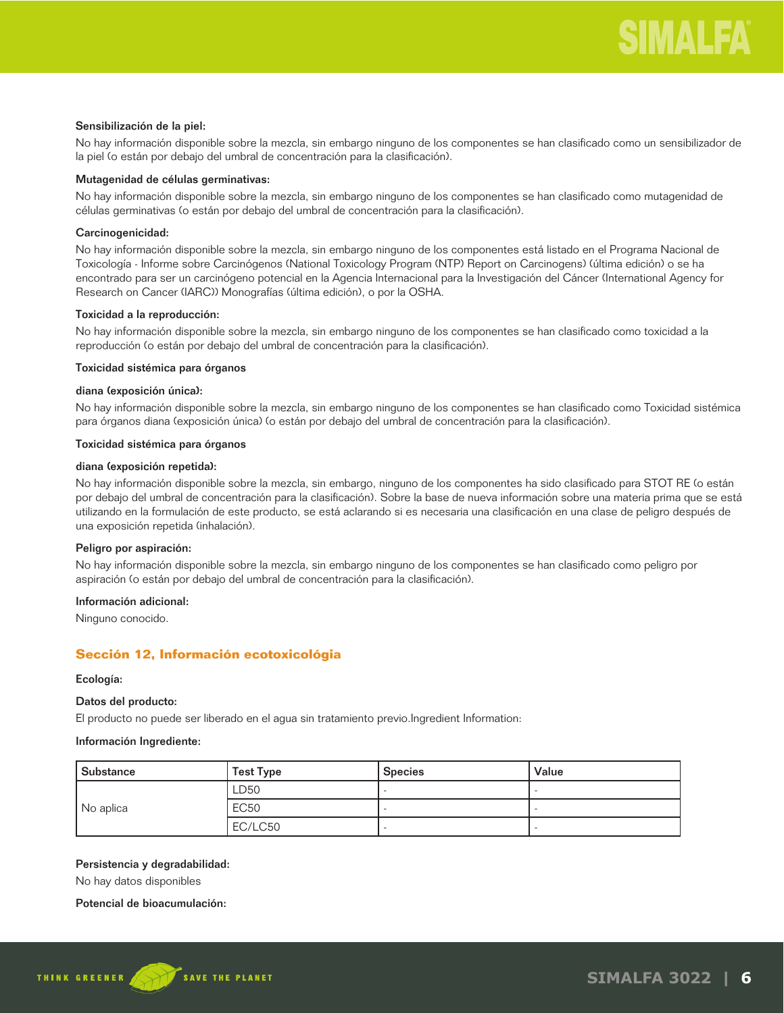#### Sensibilización de la piel:

No hay información disponible sobre la mezcla, sin embargo ninguno de los componentes se han clasificado como un sensibilizador de la piel (o están por debajo del umbral de concentración para la clasificación).

## Mutagenidad de células germinativas:

No hay información disponible sobre la mezcla, sin embargo ninguno de los componentes se han clasificado como mutagenidad de células germinativas (o están por debajo del umbral de concentración para la clasificación).

## Carcinogenicidad:

No hay información disponible sobre la mezcla, sin embargo ninguno de los componentes está listado en el Programa Nacional de Toxicología - Informe sobre Carcinógenos (National Toxicology Program (NTP) Report on Carcinogens) (última edición) o se ha encontrado para ser un carcinógeno potencial en la Agencia Internacional para la Investigación del Cáncer (International Agency for Research on Cancer (IARC)) Monografías (última edición), o por la OSHA.

## Toxicidad a la reproducción:

No hay información disponible sobre la mezcla, sin embargo ninguno de los componentes se han clasificado como toxicidad a la reproducción (o están por debajo del umbral de concentración para la clasificación).

## Toxicidad sistémica para órganos

## diana (exposición única):

No hay información disponible sobre la mezcla, sin embargo ninguno de los componentes se han clasificado como Toxicidad sistémica para órganos diana (exposición única) (o están por debajo del umbral de concentración para la clasificación).

#### Toxicidad sistémica para órganos

#### diana (exposición repetida):

No hay información disponible sobre la mezcla, sin embargo, ninguno de los componentes ha sido clasificado para STOT RE (o están por debajo del umbral de concentración para la clasificación). Sobre la base de nueva información sobre una materia prima que se está utilizando en la formulación de este producto, se está aclarando si es necesaria una clasificación en una clase de peligro después de una exposición repetida (inhalación).

#### Peligro por aspiración:

No hay información disponible sobre la mezcla, sin embargo ninguno de los componentes se han clasificado como peligro por aspiración (o están por debajo del umbral de concentración para la clasificación).

## Información adicional:

Ninguno conocido.

## **Sección 12, Información ecotoxicológia**

#### Ecología:

## Datos del producto:

El producto no puede ser liberado en el agua sin tratamiento previo.Ingredient Information:

#### Información Ingrediente:

| Substance | <b>Test Type</b> | <b>Species</b> | Value |
|-----------|------------------|----------------|-------|
| No aplica | LD50             |                |       |
|           | <b>EC50</b>      |                |       |
|           | EC/LC50          |                |       |

#### Persistencia y degradabilidad:

No hay datos disponibles

#### Potencial de bioacumulación:

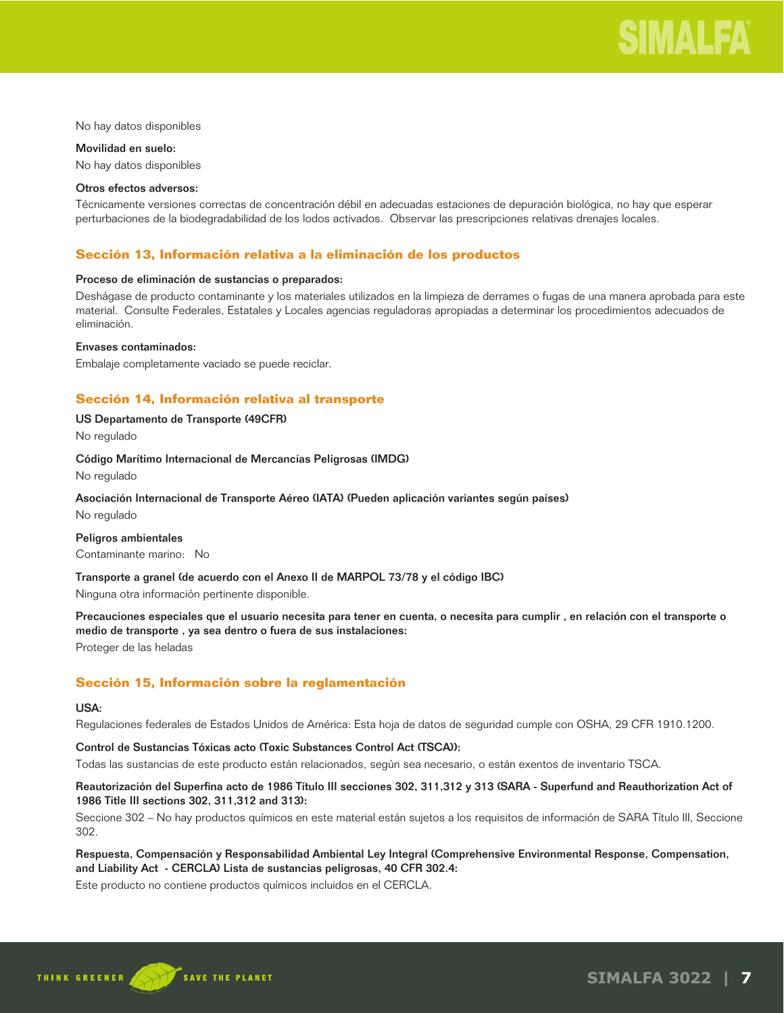

No hay datos disponibles

Movilidad en suelo: No hay datos disponibles

#### Otros efectos adversos:

Técnicamente versiones correctas de concentración débil en adecuadas estaciones de depuración biológica, no hay que esperar perturbaciones de la biodegradabilidad de los lodos activados. Observar las prescripciones relativas drenajes locales.

## **Sección 13, Información relativa a la eliminación de los productos**

#### Proceso de eliminación de sustancias o preparados:

Deshágase de producto contaminante y los materiales utilizados en la limpieza de derrames o fugas de una manera aprobada para este material. Consulte Federales, Estatales y Locales agencias reguladoras apropiadas a determinar los procedimientos adecuados de eliminación.

#### Envases contaminados:

Embalaje completamente vaciado se puede reciclar.

## **Sección 14, Información relativa al transporte**

## US Departamento de Transporte (49CFR)

No regulado

#### Código Marítimo Internacional de Mercancías Peligrosas (IMDG)

No regulado

## Asociación Internacional de Transporte Aéreo (IATA) (Pueden aplicación variantes según países)

No regulado

#### Peligros ambientales

Contaminante marino: No

Transporte a granel (de acuerdo con el Anexo II de MARPOL 73/78 y el código IBC)

Ninguna otra información pertinente disponible.

Precauciones especiales que el usuario necesita para tener en cuenta, o necesita para cumplir , en relación con el transporte o medio de transporte , ya sea dentro o fuera de sus instalaciones: Proteger de las heladas

## **Sección 15, Información sobre la reglamentación**

#### USA:

Regulaciones federales de Estados Unidos de América: Esta hoja de datos de seguridad cumple con OSHA, 29 CFR 1910.1200.

## Control de Sustancias Tóxicas acto (Toxic Substances Control Act (TSCA)):

Todas las sustancias de este producto están relacionados, según sea necesario, o están exentos de inventario TSCA.

## Reautorización del Superfina acto de 1986 Título III secciones 302, 311,312 y 313 (SARA - Superfund and Reauthorization Act of 1986 Title III sections 302, 311,312 and 313):

Seccione 302 – No hay productos químicos en este material están sujetos a los requisitos de información de SARA Título III, Seccione 302.

## Respuesta, Compensación y Responsabilidad Ambiental Ley Integral (Comprehensive Environmental Response, Compensation, and Liability Act - CERCLA) Lista de sustancias peligrosas, 40 CFR 302.4:

Este producto no contiene productos químicos incluidos en el CERCLA.